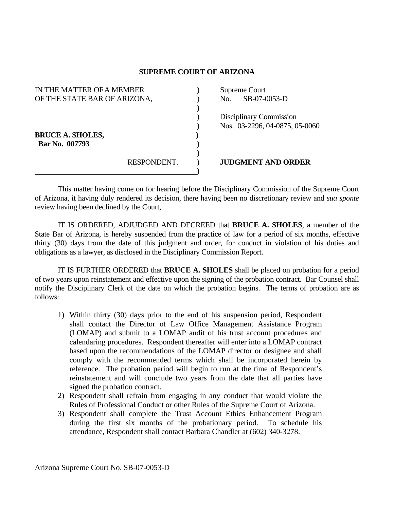## **SUPREME COURT OF ARIZONA**

| IN THE MATTER OF A MEMBER    |             |     | Supreme Court                  |
|------------------------------|-------------|-----|--------------------------------|
| OF THE STATE BAR OF ARIZONA, |             | No. | SB-07-0053-D                   |
|                              |             |     |                                |
|                              |             |     | Disciplinary Commission        |
|                              |             |     | Nos. 03-2296, 04-0875, 05-0060 |
| <b>BRUCE A. SHOLES,</b>      |             |     |                                |
| Bar No. 007793               |             |     |                                |
|                              |             |     |                                |
|                              | RESPONDENT. |     | <b>JUDGMENT AND ORDER</b>      |
|                              |             |     |                                |

 This matter having come on for hearing before the Disciplinary Commission of the Supreme Court of Arizona, it having duly rendered its decision, there having been no discretionary review and *sua sponte* review having been declined by the Court,

 IT IS ORDERED, ADJUDGED AND DECREED that **BRUCE A. SHOLES**, a member of the State Bar of Arizona, is hereby suspended from the practice of law for a period of six months, effective thirty (30) days from the date of this judgment and order, for conduct in violation of his duties and obligations as a lawyer, as disclosed in the Disciplinary Commission Report.

 IT IS FURTHER ORDERED that **BRUCE A. SHOLES** shall be placed on probation for a period of two years upon reinstatement and effective upon the signing of the probation contract. Bar Counsel shall notify the Disciplinary Clerk of the date on which the probation begins. The terms of probation are as follows:

- 1) Within thirty (30) days prior to the end of his suspension period, Respondent shall contact the Director of Law Office Management Assistance Program (LOMAP) and submit to a LOMAP audit of his trust account procedures and calendaring procedures. Respondent thereafter will enter into a LOMAP contract based upon the recommendations of the LOMAP director or designee and shall comply with the recommended terms which shall be incorporated herein by reference. The probation period will begin to run at the time of Respondent's reinstatement and will conclude two years from the date that all parties have signed the probation contract.
- 2) Respondent shall refrain from engaging in any conduct that would violate the Rules of Professional Conduct or other Rules of the Supreme Court of Arizona.
- 3) Respondent shall complete the Trust Account Ethics Enhancement Program during the first six months of the probationary period. To schedule his attendance, Respondent shall contact Barbara Chandler at (602) 340-3278.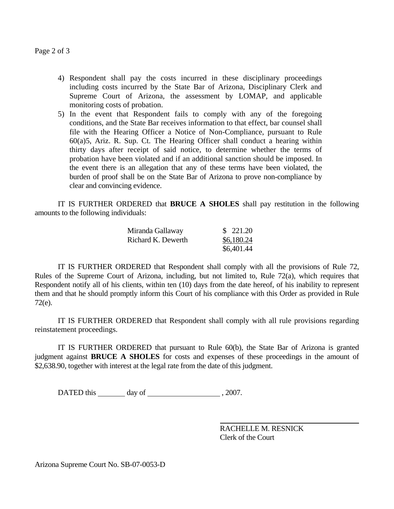Page 2 of 3

- 4) Respondent shall pay the costs incurred in these disciplinary proceedings including costs incurred by the State Bar of Arizona, Disciplinary Clerk and Supreme Court of Arizona, the assessment by LOMAP, and applicable monitoring costs of probation.
- 5) In the event that Respondent fails to comply with any of the foregoing conditions, and the State Bar receives information to that effect, bar counsel shall file with the Hearing Officer a Notice of Non-Compliance, pursuant to Rule 60(a)5, Ariz. R. Sup. Ct. The Hearing Officer shall conduct a hearing within thirty days after receipt of said notice, to determine whether the terms of probation have been violated and if an additional sanction should be imposed. In the event there is an allegation that any of these terms have been violated, the burden of proof shall be on the State Bar of Arizona to prove non-compliance by clear and convincing evidence.

 IT IS FURTHER ORDERED that **BRUCE A SHOLES** shall pay restitution in the following amounts to the following individuals:

| Miranda Gallaway   | \$221.20   |
|--------------------|------------|
| Richard K. Dewerth | \$6,180.24 |
|                    | \$6,401.44 |

 IT IS FURTHER ORDERED that Respondent shall comply with all the provisions of Rule 72, Rules of the Supreme Court of Arizona, including, but not limited to, Rule 72(a), which requires that Respondent notify all of his clients, within ten (10) days from the date hereof, of his inability to represent them and that he should promptly inform this Court of his compliance with this Order as provided in Rule 72(e).

 IT IS FURTHER ORDERED that Respondent shall comply with all rule provisions regarding reinstatement proceedings.

 IT IS FURTHER ORDERED that pursuant to Rule 60(b), the State Bar of Arizona is granted judgment against **BRUCE A SHOLES** for costs and expenses of these proceedings in the amount of \$2,638.90, together with interest at the legal rate from the date of this judgment.

DATED this day of , 2007.

 RACHELLE M. RESNICK Clerk of the Court

Arizona Supreme Court No. SB-07-0053-D